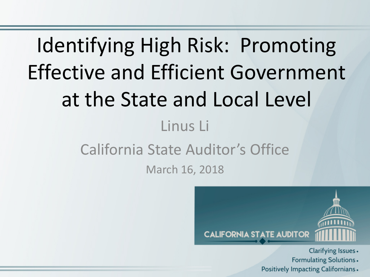# Identifying High Risk: Promoting Effective and Efficient Government at the State and Local Level Linus Li California State Auditor's Office March 16, 2018



Clarifying Issues . **Formulating Solutions.** Positively Impacting Californians.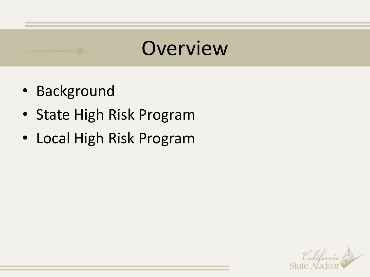### **Overview**

- Background
- State High Risk Program
- Local High Risk Program

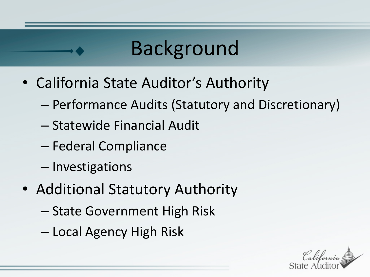### Background

- California State Auditor's Authority
	- Performance Audits (Statutory and Discretionary)
	- Statewide Financial Audit
	- Federal Compliance
	- Investigations
- Additional Statutory Authority
	- State Government High Risk
	- Local Agency High Risk

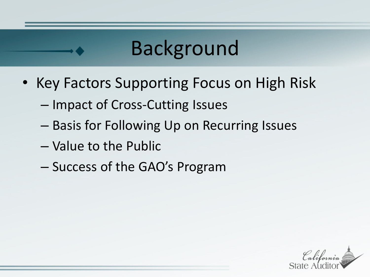### Background

- Key Factors Supporting Focus on High Risk
	- Impact of Cross-Cutting Issues
	- Basis for Following Up on Recurring Issues
	- Value to the Public
	- Success of the GAO's Program

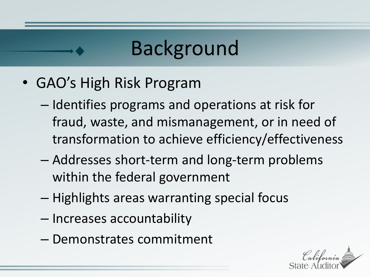### Background

- GAO's High Risk Program
	- Identifies programs and operations at risk for fraud, waste, and mismanagement, or in need of transformation to achieve efficiency/effectiveness
	- Addresses short-term and long-term problems within the federal government
	- Highlights areas warranting special focus
	- Increases accountability
	- Demonstrates commitment

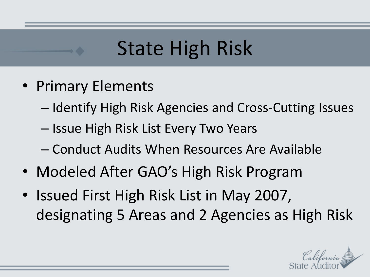- Primary Elements
	- Identify High Risk Agencies and Cross-Cutting Issues
	- Issue High Risk List Every Two Years
	- Conduct Audits When Resources Are Available
- Modeled After GAO's High Risk Program
- Issued First High Risk List in May 2007, designating 5 Areas and 2 Agencies as High Risk

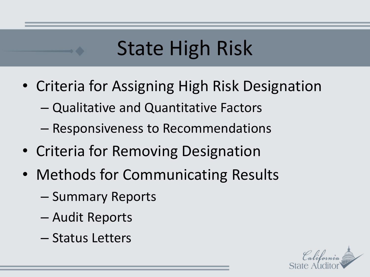- Criteria for Assigning High Risk Designation
	- Qualitative and Quantitative Factors
	- Responsiveness to Recommendations
- Criteria for Removing Designation
- Methods for Communicating Results
	- Summary Reports
	- Audit Reports
	- Status Letters

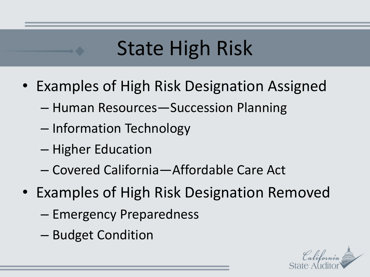- Examples of High Risk Designation Assigned
	- Human Resources—Succession Planning
	- Information Technology
	- Higher Education
	- Covered California—Affordable Care Act
- Examples of High Risk Designation Removed
	- Emergency Preparedness
	- Budget Condition

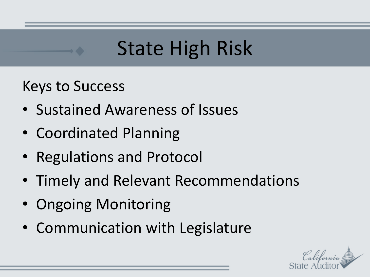Keys to Success

- Sustained Awareness of Issues
- Coordinated Planning
- Regulations and Protocol
- Timely and Relevant Recommendations
- Ongoing Monitoring
- Communication with Legislature

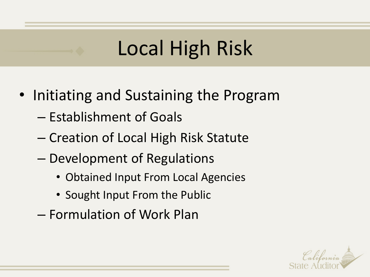- Initiating and Sustaining the Program
	- Establishment of Goals
	- Creation of Local High Risk Statute
	- Development of Regulations
		- Obtained Input From Local Agencies
		- Sought Input From the Public
	- Formulation of Work Plan

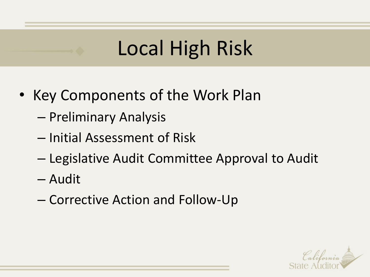- Key Components of the Work Plan
	- Preliminary Analysis
	- Initial Assessment of Risk
	- Legislative Audit Committee Approval to Audit
	- Audit
	- Corrective Action and Follow-Up

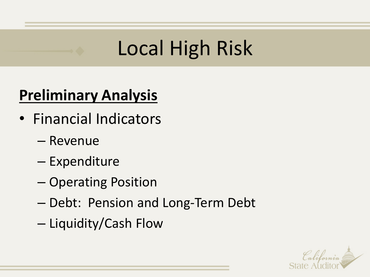#### **Preliminary Analysis**

- Financial Indicators
	- Revenue
	- Expenditure
	- Operating Position
	- Debt: Pension and Long-Term Debt
	- Liquidity/Cash Flow

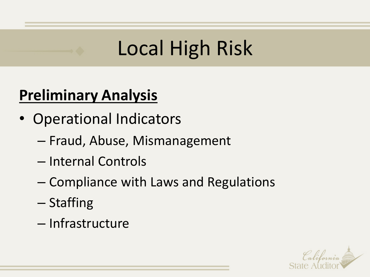#### **Preliminary Analysis**

- Operational Indicators
	- Fraud, Abuse, Mismanagement
	- Internal Controls
	- Compliance with Laws and Regulations
	- Staffing
	- Infrastructure

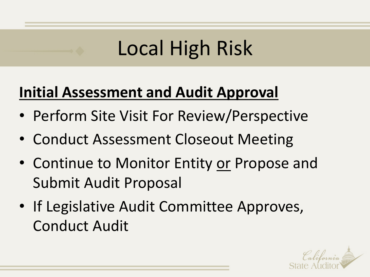#### **Initial Assessment and Audit Approval**

- Perform Site Visit For Review/Perspective
- Conduct Assessment Closeout Meeting
- Continue to Monitor Entity or Propose and Submit Audit Proposal
- If Legislative Audit Committee Approves, Conduct Audit

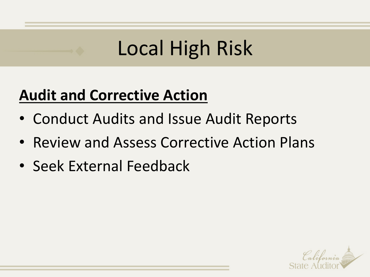#### **Audit and Corrective Action**

- Conduct Audits and Issue Audit Reports
- Review and Assess Corrective Action Plans
- Seek External Feedback

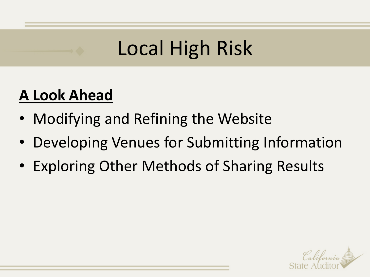#### **A Look Ahead**

- Modifying and Refining the Website
- Developing Venues for Submitting Information
- Exploring Other Methods of Sharing Results